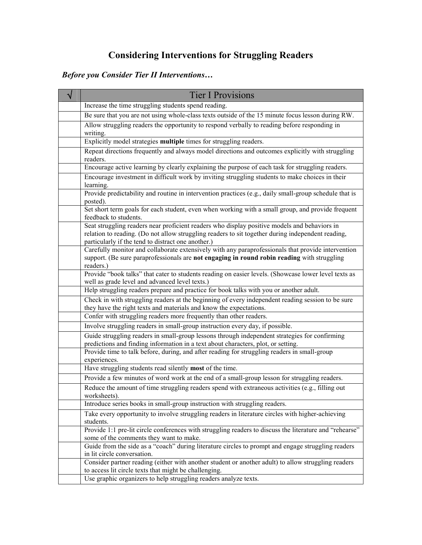# Considering Interventions for Struggling Readers

# Before you Consider Tier II Interventions…

| <b>Tier I Provisions</b>                                                                                                                                                                                                                                |
|---------------------------------------------------------------------------------------------------------------------------------------------------------------------------------------------------------------------------------------------------------|
| Increase the time struggling students spend reading.                                                                                                                                                                                                    |
| Be sure that you are not using whole-class texts outside of the 15 minute focus lesson during RW.                                                                                                                                                       |
| Allow struggling readers the opportunity to respond verbally to reading before responding in<br>writing.                                                                                                                                                |
| Explicitly model strategies multiple times for struggling readers.                                                                                                                                                                                      |
| Repeat directions frequently and always model directions and outcomes explicitly with struggling<br>readers.                                                                                                                                            |
| Encourage active learning by clearly explaining the purpose of each task for struggling readers.                                                                                                                                                        |
| Encourage investment in difficult work by inviting struggling students to make choices in their<br>learning.                                                                                                                                            |
| Provide predictability and routine in intervention practices (e.g., daily small-group schedule that is<br>posted).                                                                                                                                      |
| Set short term goals for each student, even when working with a small group, and provide frequent<br>feedback to students.                                                                                                                              |
| Seat struggling readers near proficient readers who display positive models and behaviors in<br>relation to reading. (Do not allow struggling readers to sit together during independent reading,<br>particularly if the tend to distract one another.) |
| Carefully monitor and collaborate extensively with any paraprofessionals that provide intervention<br>support. (Be sure paraprofessionals are not engaging in round robin reading with struggling<br>readers.)                                          |
| Provide "book talks" that cater to students reading on easier levels. (Showcase lower level texts as<br>well as grade level and advanced level texts.)                                                                                                  |
| Help struggling readers prepare and practice for book talks with you or another adult.                                                                                                                                                                  |
| Check in with struggling readers at the beginning of every independent reading session to be sure<br>they have the right texts and materials and know the expectations.                                                                                 |
| Confer with struggling readers more frequently than other readers.                                                                                                                                                                                      |
| Involve struggling readers in small-group instruction every day, if possible.                                                                                                                                                                           |
| Guide struggling readers in small-group lessons through independent strategies for confirming<br>predictions and finding information in a text about characters, plot, or setting.                                                                      |
| Provide time to talk before, during, and after reading for struggling readers in small-group<br>experiences.                                                                                                                                            |
| Have struggling students read silently most of the time.                                                                                                                                                                                                |
| Provide a few minutes of word work at the end of a small-group lesson for struggling readers.                                                                                                                                                           |
| Reduce the amount of time struggling readers spend with extraneous activities (e.g., filling out<br>worksheets).                                                                                                                                        |
| Introduce series books in small-group instruction with struggling readers.                                                                                                                                                                              |
| Take every opportunity to involve struggling readers in literature circles with higher-achieving<br>students.                                                                                                                                           |
| Provide 1:1 pre-lit circle conferences with struggling readers to discuss the literature and "rehearse"<br>some of the comments they want to make.                                                                                                      |
| Guide from the side as a "coach" during literature circles to prompt and engage struggling readers<br>in lit circle conversation.                                                                                                                       |
| Consider partner reading (either with another student or another adult) to allow struggling readers<br>to access lit circle texts that might be challenging.                                                                                            |
| Use graphic organizers to help struggling readers analyze texts.                                                                                                                                                                                        |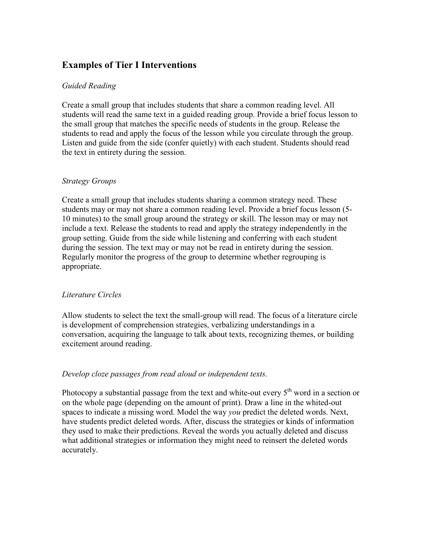# Examples of Tier I Interventions

#### Guided Reading

Create a small group that includes students that share a common reading level. All students will read the same text in a guided reading group. Provide a brief focus lesson to the small group that matches the specific needs of students in the group. Release the students to read and apply the focus of the lesson while you circulate through the group. Listen and guide from the side (confer quietly) with each student. Students should read the text in entirety during the session.

#### Strategy Groups

Create a small group that includes students sharing a common strategy need. These students may or may not share a common reading level. Provide a brief focus lesson (5- 10 minutes) to the small group around the strategy or skill. The lesson may or may not include a text. Release the students to read and apply the strategy independently in the group setting. Guide from the side while listening and conferring with each student during the session. The text may or may not be read in entirety during the session. Regularly monitor the progress of the group to determine whether regrouping is appropriate.

#### Literature Circles

Allow students to select the text the small-group will read. The focus of a literature circle is development of comprehension strategies, verbalizing understandings in a conversation, acquiring the language to talk about texts, recognizing themes, or building excitement around reading.

#### Develop cloze passages from read aloud or independent texts.

Photocopy a substantial passage from the text and white-out every  $5<sup>th</sup>$  word in a section or on the whole page (depending on the amount of print). Draw a line in the whited-out spaces to indicate a missing word. Model the way you predict the deleted words. Next, have students predict deleted words. After, discuss the strategies or kinds of information they used to make their predictions. Reveal the words you actually deleted and discuss what additional strategies or information they might need to reinsert the deleted words accurately.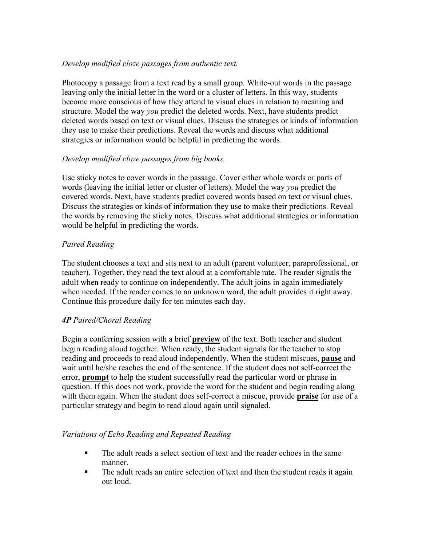#### Develop modified cloze passages from authentic text.

Photocopy a passage from a text read by a small group. White-out words in the passage leaving only the initial letter in the word or a cluster of letters. In this way, students become more conscious of how they attend to visual clues in relation to meaning and structure. Model the way *you* predict the deleted words. Next, have students predict deleted words based on text or visual clues. Discuss the strategies or kinds of information they use to make their predictions. Reveal the words and discuss what additional strategies or information would be helpful in predicting the words.

### Develop modified cloze passages from big books.

Use sticky notes to cover words in the passage. Cover either whole words or parts of words (leaving the initial letter or cluster of letters). Model the way you predict the covered words. Next, have students predict covered words based on text or visual clues. Discuss the strategies or kinds of information they use to make their predictions. Reveal the words by removing the sticky notes. Discuss what additional strategies or information would be helpful in predicting the words.

### Paired Reading

The student chooses a text and sits next to an adult (parent volunteer, paraprofessional, or teacher). Together, they read the text aloud at a comfortable rate. The reader signals the adult when ready to continue on independently. The adult joins in again immediately when needed. If the reader comes to an unknown word, the adult provides it right away. Continue this procedure daily for ten minutes each day.

## 4P Paired/Choral Reading

Begin a conferring session with a brief preview of the text. Both teacher and student begin reading aloud together. When ready, the student signals for the teacher to stop reading and proceeds to read aloud independently. When the student miscues, pause and wait until he/she reaches the end of the sentence. If the student does not self-correct the error, **prompt** to help the student successfully read the particular word or phrase in question. If this does not work, provide the word for the student and begin reading along with them again. When the student does self-correct a miscue, provide **praise** for use of a particular strategy and begin to read aloud again until signaled.

#### Variations of Echo Reading and Repeated Reading

- The adult reads a select section of text and the reader echoes in the same manner.
- The adult reads an entire selection of text and then the student reads it again out loud.